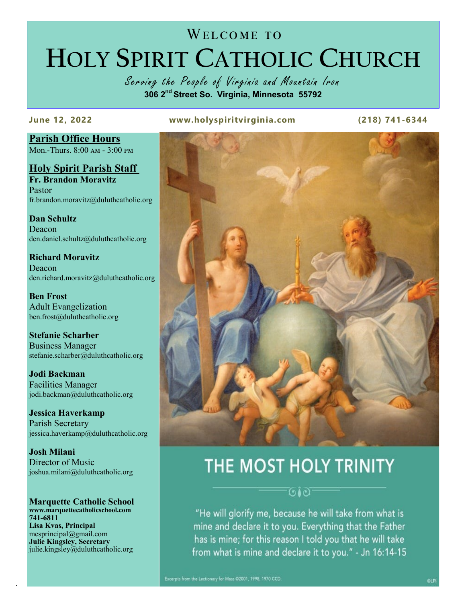# WELCOME TO **HOLY SPIRIT CATHOLIC CHURCH**

Serving the People of Virginia and Mountain Iron **306 2nd Street So. Virginia, Minnesota 55792**

**June 12, 2022 www.holyspiritvirginia.com (218) 741-6344**

**Parish Office Hours** Mon.-Thurs. 8:00 am - 3:00 pm

**Holy Spirit Parish Staff Fr. Brandon Moravitz** Pastor fr.brandon.moravitz@duluthcatholic.org

**Dan Schultz Deacon** dcn.daniel.schultz@duluthcatholic.org

**Richard Moravitz** Deacon dcn.richard.moravitz@duluthcatholic.org

**Ben Frost** Adult Evangelization ben.frost@duluthcatholic.org

**Stefanie Scharber** Business Manager stefanie.scharber@duluthcatholic.org

**Jodi Backman** Facilities Manager jodi.backman@duluthcatholic.org

**Jessica Haverkamp** Parish Secretary jessica.haverkamp@duluthcatholic.org

**Josh Milani** Director of Music joshua.milani@duluthcatholic.org

**Marquette Catholic School www.marquettecatholicschool.com 741-6811 Lisa Kvas, Principal** mcsprincipal@gmail.com **Julie Kingsley, Secretary**  julie.kingsley@duluthcatholic.org

.



## THE MOST HOLY TRINITY

 $(91c)$ 

"He will glorify me, because he will take from what is mine and declare it to you. Everything that the Father has is mine; for this reason I told you that he will take from what is mine and declare it to you." - Jn 16:14-15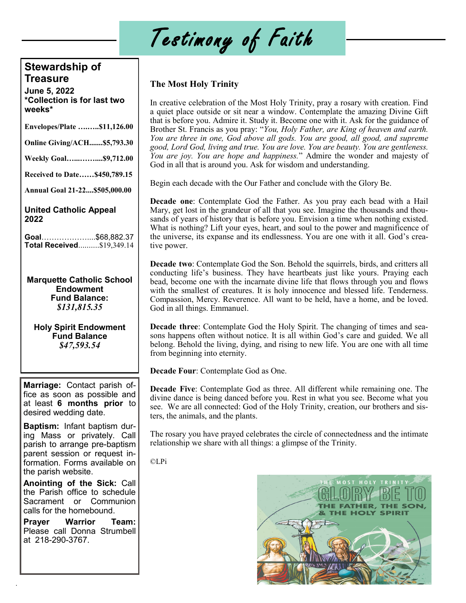# Testimony of Faith

## **Stewardship of Treasure**

**June 5, 2022 \*Collection is for last two weeks\***

| Envelopes/Plate \$11,126.00                                              |
|--------------------------------------------------------------------------|
| Online Giving/ACH\$5,793.30                                              |
| Weekly Goal\$9,712.00                                                    |
| Received to Date\$450,789.15                                             |
| Annual Goal 21-22\$505,000.00                                            |
| $\mathbf{H}$ . See all $\mathbf{A}$ with a Bin $\mathbf{A}$ converted to |

**United Catholic Appeal 2022**

**Goal**………………....\$68,882.37 **Total Received**..........\$19,349.14

**Marquette Catholic School Endowment Fund Balance:** *\$131,815.35*

**Holy Spirit Endowment Fund Balance** *\$47,593.54*

**Marriage:** Contact parish office as soon as possible and at least **6 months prior** to desired wedding date.

**Baptism:** Infant baptism during Mass or privately. Call parish to arrange pre-baptism parent session or request information. Forms available on the parish website.

**Anointing of the Sick:** Call the Parish office to schedule Sacrament or Communion calls for the homebound.

**Prayer Warrior Team:**  Please call Donna Strumbell at 218-290-3767.

.

### **The Most Holy Trinity**

In creative celebration of the Most Holy Trinity, pray a rosary with creation. Find a quiet place outside or sit near a window. Contemplate the amazing Divine Gift that is before you. Admire it. Study it. Become one with it. Ask for the guidance of Brother St. Francis as you pray: "*You, Holy Father, are King of heaven and earth. You are three in one, God above all gods. You are good, all good, and supreme good, Lord God, living and true. You are love. You are beauty. You are gentleness. You are joy. You are hope and happiness.*" Admire the wonder and majesty of God in all that is around you. Ask for wisdom and understanding.

Begin each decade with the Our Father and conclude with the Glory Be.

**Decade one**: Contemplate God the Father. As you pray each bead with a Hail Mary, get lost in the grandeur of all that you see. Imagine the thousands and thousands of years of history that is before you. Envision a time when nothing existed. What is nothing? Lift your eyes, heart, and soul to the power and magnificence of the universe, its expanse and its endlessness. You are one with it all. God's creative power.

**Decade two**: Contemplate God the Son. Behold the squirrels, birds, and critters all conducting life's business. They have heartbeats just like yours. Praying each bead, become one with the incarnate divine life that flows through you and flows with the smallest of creatures. It is holy innocence and blessed life. Tenderness. Compassion, Mercy. Reverence. All want to be held, have a home, and be loved. God in all things. Emmanuel.

**Decade three**: Contemplate God the Holy Spirit. The changing of times and seasons happens often without notice. It is all within God's care and guided. We all belong. Behold the living, dying, and rising to new life. You are one with all time from beginning into eternity.

**Decade Four**: Contemplate God as One.

**Decade Five**: Contemplate God as three. All different while remaining one. The divine dance is being danced before you. Rest in what you see. Become what you see. We are all connected: God of the Holy Trinity, creation, our brothers and sisters, the animals, and the plants.

The rosary you have prayed celebrates the circle of connectedness and the intimate relationship we share with all things: a glimpse of the Trinity.

©LPi

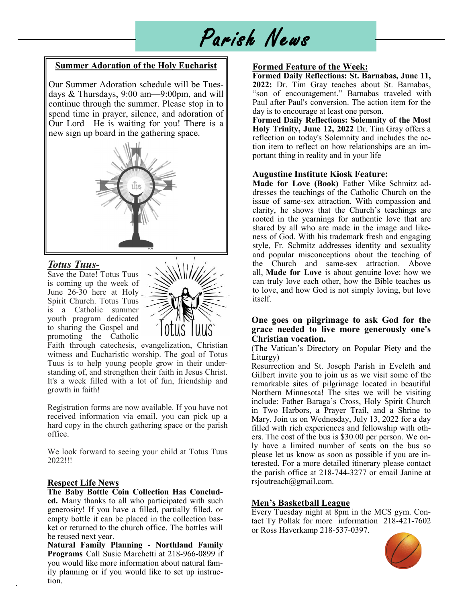# Parish News

#### **Summer Adoration of the Holy Eucharist**

Our Summer Adoration schedule will be Tuesdays & Thursdays, 9:00 am—9:00pm, and will continue through the summer. Please stop in to spend time in prayer, silence, and adoration of Our Lord—He is waiting for you! There is a new sign up board in the gathering space.



#### *Totus Tuus-*

Save the Date! Totus Tuus is coming up the week of June 26-30 here at Holy Spirit Church. Totus Tuus is a Catholic summer youth program dedicated to sharing the Gospel and promoting the Catholic



Faith through catechesis, evangelization, Christian witness and Eucharistic worship. The goal of Totus Tuus is to help young people grow in their understanding of, and strengthen their faith in Jesus Christ. It's a week filled with a lot of fun, friendship and growth in faith!

Registration forms are now available. If you have not received information via email, you can pick up a hard copy in the church gathering space or the parish office.

We look forward to seeing your child at Totus Tuus 2022!!!

#### **Respect Life News** rsjoutreach@gmail.com.

.

**The Baby Bottle Coin Collection Has Concluded.** Many thanks to all who participated with such generosity! If you have a filled, partially filled, or empty bottle it can be placed in the collection basket or returned to the church office. The bottles will be reused next year.

**Natural Family Planning - Northland Family Programs** Call Susie Marchetti at 218-966-0899 if you would like more information about natural family planning or if you would like to set up instruction.

#### **Formed Feature of the Week:**

**Formed Daily Reflections: St. Barnabas, June 11, 2022:** Dr. Tim Gray teaches about St. Barnabas, "son of encouragement." Barnabas traveled with Paul after Paul's conversion. The action item for the day is to encourage at least one person.

**Formed Daily Reflections: Solemnity of the Most Holy Trinity, June 12, 2022** Dr. Tim Gray offers a reflection on today's Solemnity and includes the action item to reflect on how relationships are an important thing in reality and in your life

#### **Augustine Institute Kiosk Feature:**

**Made for Love (Book)** Father Mike Schmitz addresses the teachings of the Catholic Church on the issue of same-sex attraction. With compassion and clarity, he shows that the Church's teachings are rooted in the yearnings for authentic love that are shared by all who are made in the image and likeness of God. With his trademark fresh and engaging style, Fr. Schmitz addresses identity and sexuality and popular misconceptions about the teaching of the Church and same-sex attraction. Above all, **Made for Love** is about genuine love: how we can truly love each other, how the Bible teaches us to love, and how God is not simply loving, but love itself.

#### **One goes on pilgrimage to ask God for the grace needed to live more generously one's Christian vocation.**

(The Vatican's Directory on Popular Piety and the Liturgy)

Resurrection and St. Joseph Parish in Eveleth and Gilbert invite you to join us as we visit some of the remarkable sites of pilgrimage located in beautiful Northern Minnesota! The sites we will be visiting include: Father Baraga's Cross, Holy Spirit Church in Two Harbors, a Prayer Trail, and a Shrine to Mary. Join us on Wednesday, July 13, 2022 for a day filled with rich experiences and fellowship with others. The cost of the bus is \$30.00 per person. We only have a limited number of seats on the bus so please let us know as soon as possible if you are interested. For a more detailed itinerary please contact the parish office at 218-744-3277 or email Janine at

#### **Men's Basketball League**

Every Tuesday night at 8pm in the MCS gym. Contact Ty Pollak for more information 218-421-7602 or Ross Haverkamp 218-537-0397.